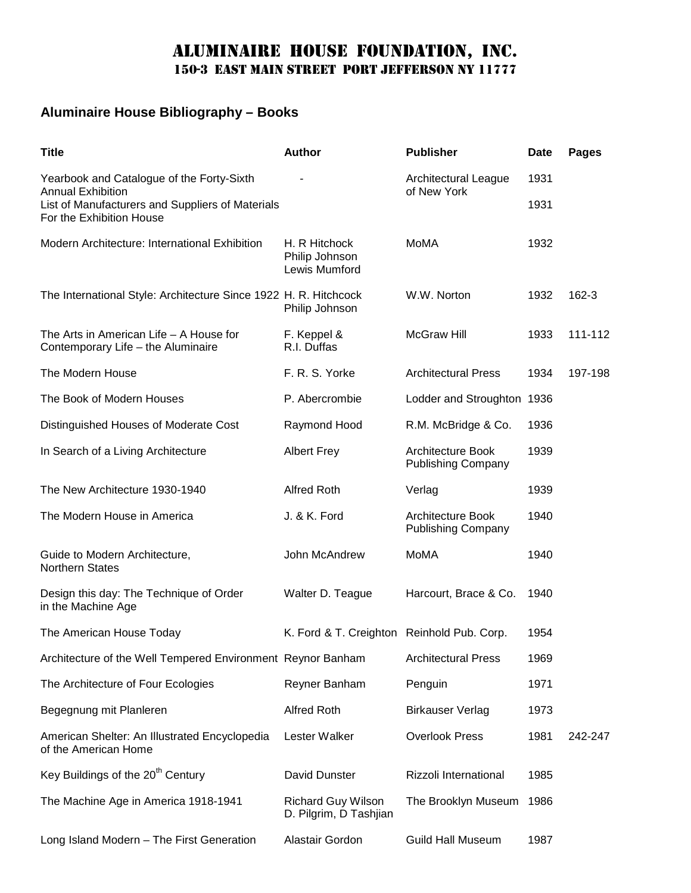## Aluminaire house foundation, inc. 150-3 east main street port Jefferson ny 11777

## **Aluminaire House Bibliography – Books**

| <b>Title</b>                                                                                                                                          | <b>Author</b>                                       | <b>Publisher</b>                                      | <b>Date</b> | <b>Pages</b> |
|-------------------------------------------------------------------------------------------------------------------------------------------------------|-----------------------------------------------------|-------------------------------------------------------|-------------|--------------|
| Yearbook and Catalogue of the Forty-Sixth<br><b>Annual Exhibition</b><br>List of Manufacturers and Suppliers of Materials<br>For the Exhibition House |                                                     | Architectural League<br>of New York                   | 1931        |              |
|                                                                                                                                                       |                                                     |                                                       | 1931        |              |
| Modern Architecture: International Exhibition                                                                                                         | H. R Hitchock<br>Philip Johnson<br>Lewis Mumford    | MoMA                                                  | 1932        |              |
| The International Style: Architecture Since 1922 H. R. Hitchcock                                                                                      | Philip Johnson                                      | W.W. Norton                                           | 1932        | 162-3        |
| The Arts in American Life $-$ A House for<br>Contemporary Life - the Aluminaire                                                                       | F. Keppel &<br>R.I. Duffas                          | <b>McGraw Hill</b>                                    | 1933        | 111-112      |
| The Modern House                                                                                                                                      | F. R. S. Yorke                                      | <b>Architectural Press</b>                            | 1934        | 197-198      |
| The Book of Modern Houses                                                                                                                             | P. Abercrombie                                      | Lodder and Stroughton 1936                            |             |              |
| Distinguished Houses of Moderate Cost                                                                                                                 | Raymond Hood                                        | R.M. McBridge & Co.                                   | 1936        |              |
| In Search of a Living Architecture                                                                                                                    | <b>Albert Frey</b>                                  | <b>Architecture Book</b><br><b>Publishing Company</b> | 1939        |              |
| The New Architecture 1930-1940                                                                                                                        | <b>Alfred Roth</b>                                  | Verlag                                                | 1939        |              |
| The Modern House in America                                                                                                                           | J. & K. Ford                                        | <b>Architecture Book</b><br><b>Publishing Company</b> | 1940        |              |
| Guide to Modern Architecture,<br><b>Northern States</b>                                                                                               | John McAndrew                                       | <b>MoMA</b>                                           | 1940        |              |
| Design this day: The Technique of Order<br>in the Machine Age                                                                                         | Walter D. Teague                                    | Harcourt, Brace & Co.                                 | 1940        |              |
| The American House Today                                                                                                                              | K. Ford & T. Creighton Reinhold Pub. Corp.          |                                                       | 1954        |              |
| Architecture of the Well Tempered Environment Reynor Banham                                                                                           |                                                     | <b>Architectural Press</b>                            | 1969        |              |
| The Architecture of Four Ecologies                                                                                                                    | Reyner Banham                                       | Penguin                                               | 1971        |              |
| Begegnung mit Planleren                                                                                                                               | <b>Alfred Roth</b>                                  | <b>Birkauser Verlag</b>                               | 1973        |              |
| American Shelter: An Illustrated Encyclopedia<br>of the American Home                                                                                 | Lester Walker                                       | <b>Overlook Press</b>                                 | 1981        | 242-247      |
| Key Buildings of the 20 <sup>th</sup> Century                                                                                                         | David Dunster                                       | Rizzoli International                                 | 1985        |              |
| The Machine Age in America 1918-1941                                                                                                                  | <b>Richard Guy Wilson</b><br>D. Pilgrim, D Tashjian | The Brooklyn Museum                                   | 1986        |              |
| Long Island Modern - The First Generation                                                                                                             | Alastair Gordon                                     | <b>Guild Hall Museum</b>                              | 1987        |              |